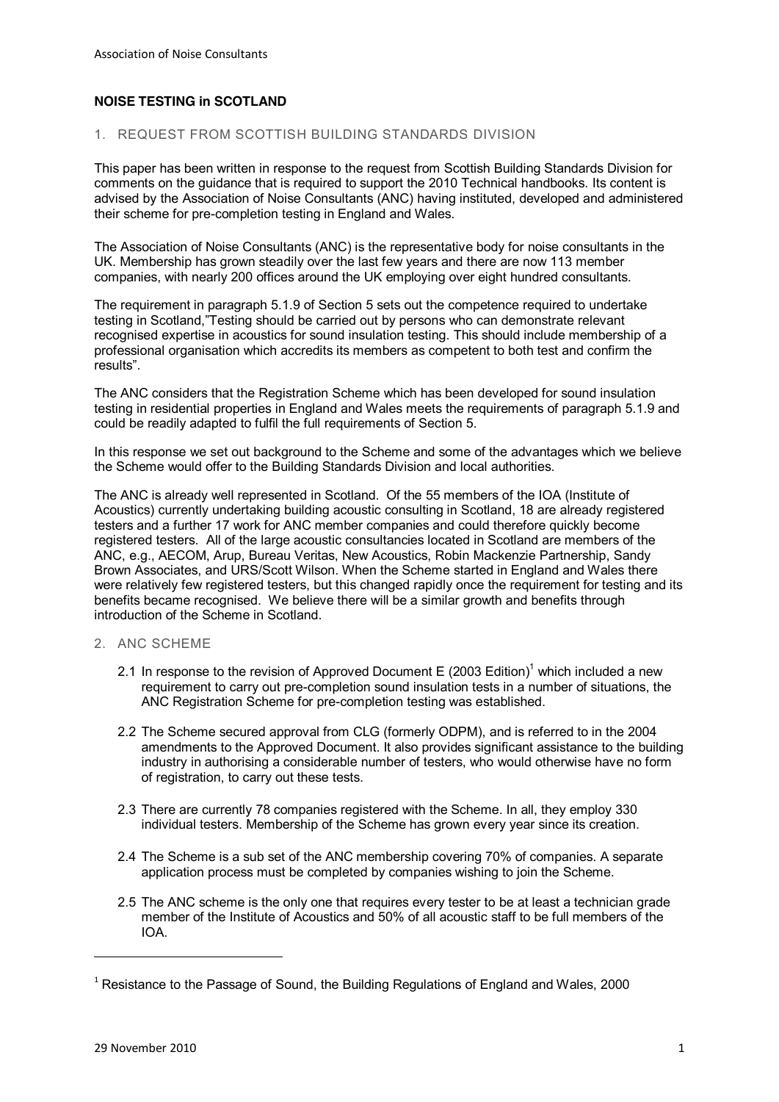# **NOISE TESTING in SCOTLAND**

# 1. REQUEST FROM SCOTTISH BUILDING STANDARDS DIVISION

This paper has been written in response to the request from Scottish Building Standards Division for comments on the guidance that is required to support the 2010 Technical handbooks. Its content is advised by the Association of Noise Consultants (ANC) having instituted, developed and administered their scheme for pre-completion testing in England and Wales.

The Association of Noise Consultants (ANC) is the representative body for noise consultants in the UK. Membership has grown steadily over the last few years and there are now 113 member companies, with nearly 200 offices around the UK employing over eight hundred consultants.

The requirement in paragraph 5.1.9 of Section 5 sets out the competence required to undertake testing in Scotland, "Testing should be carried out by persons who can demonstrate relevant recognised expertise in acoustics for sound insulation testing. This should include membership of a professional organisation which accredits its members as competent to both test and confirm the results".

The ANC considers that the Registration Scheme which has been developed for sound insulation testing in residential properties in England and Wales meets the requirements of paragraph 5.1.9 and could be readily adapted to fulfil the full requirements of Section 5.

In this response we set out background to the Scheme and some of the advantages which we believe the Scheme would offer to the Building Standards Division and local authorities.

The ANC is already well represented in Scotland. Of the 55 members of the IOA (Institute of Acoustics) currently undertaking building acoustic consulting in Scotland, 18 are already registered testers and a further 17 work for ANC member companies and could therefore quickly become registered testers. All of the large acoustic consultancies located in Scotland are members of the ANC, e.g., AECOM, Arup, Bureau Veritas, New Acoustics, Robin Mackenzie Partnership, Sandy Brown Associates, and URS/Scott Wilson. When the Scheme started in England and Wales there were relatively few registered testers, but this changed rapidly once the requirement for testing and its benefits became recognised. We believe there will be a similar growth and benefits through introduction of the Scheme in Scotland.

### 2. ANC SCHEME

- 2.1 In response to the revision of Approved Document E (2003 Edition)<sup>1</sup> which included a new requirement to carry out pre-completion sound insulation tests in a number of situations, the ANC Registration Scheme for pre-completion testing was established.
- 2.2 The Scheme secured approval from CLG (formerly ODPM), and is referred to in the 2004 amendments to the Approved Document. It also provides significant assistance to the building industry in authorising a considerable number of testers, who would otherwise have no form of registration, to carry out these tests.
- 2.3 There are currently 78 companies registered with the Scheme. In all, they employ 330 individual testers. Membership of the Scheme has grown every year since its creation.
- 2.4 The Scheme is a sub set of the ANC membership covering 70% of companies. A separate application process must be completed by companies wishing to join the Scheme.
- 2.5 The ANC scheme is the only one that requires every tester to be at least a technician grade member of the Institute of Acoustics and 50% of all acoustic staff to be full members of the IOA.

))))))))))))))))))))))))))))))))))))))))))))))))))))))))))))

 $1$  Resistance to the Passage of Sound, the Building Regulations of England and Wales, 2000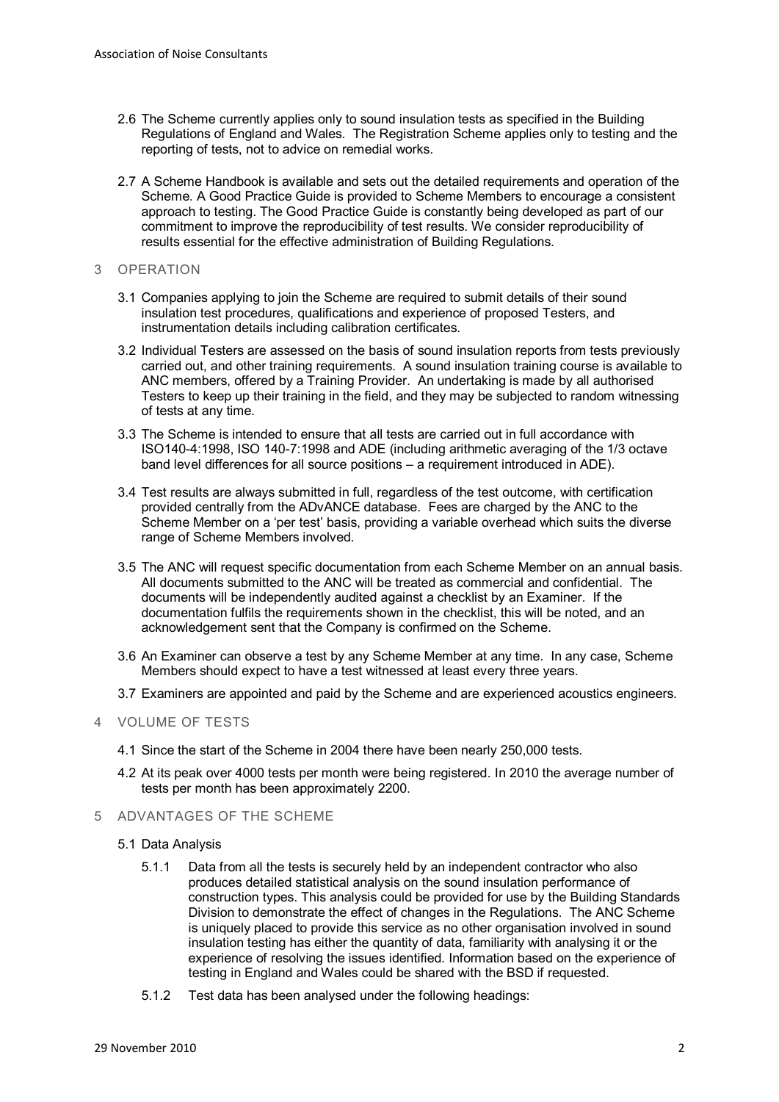- 2.6 The Scheme currently applies only to sound insulation tests as specified in the Building Regulations of England and Wales. The Registration Scheme applies only to testing and the reporting of tests, not to advice on remedial works.
- 2.7 A Scheme Handbook is available and sets out the detailed requirements and operation of the Scheme. A Good Practice Guide is provided to Scheme Members to encourage a consistent approach to testing. The Good Practice Guide is constantly being developed as part of our commitment to improve the reproducibility of test results. We consider reproducibility of results essential for the effective administration of Building Regulations.
- 3 OPERATION
	- 3.1 Companies applying to join the Scheme are required to submit details of their sound insulation test procedures, qualifications and experience of proposed Testers, and instrumentation details including calibration certificates.
	- 3.2 Individual Testers are assessed on the basis of sound insulation reports from tests previously carried out, and other training requirements. A sound insulation training course is available to ANC members, offered by a Training Provider. An undertaking is made by all authorised Testers to keep up their training in the field, and they may be subjected to random witnessing of tests at any time.
	- 3.3 The Scheme is intended to ensure that all tests are carried out in full accordance with ISO140-4:1998, ISO 140-7:1998 and ADE (including arithmetic averaging of the 1/3 octave band level differences for all source positions  $-$  a requirement introduced in ADE).
	- 3.4 Test results are always submitted in full, regardless of the test outcome, with certification provided centrally from the ADvANCE database. Fees are charged by the ANC to the Scheme Member on a 'per test' basis, providing a variable overhead which suits the diverse range of Scheme Members involved.
	- 3.5 The ANC will request specific documentation from each Scheme Member on an annual basis. All documents submitted to the ANC will be treated as commercial and confidential. The documents will be independently audited against a checklist by an Examiner. If the documentation fulfils the requirements shown in the checklist, this will be noted, and an acknowledgement sent that the Company is confirmed on the Scheme.
	- 3.6 An Examiner can observe a test by any Scheme Member at any time. In any case, Scheme Members should expect to have a test witnessed at least every three years.
	- 3.7 Examiners are appointed and paid by the Scheme and are experienced acoustics engineers.
- 4 VOLUME OF TESTS
	- 4.1 Since the start of the Scheme in 2004 there have been nearly 250,000 tests.
	- 4.2 At its peak over 4000 tests per month were being registered. In 2010 the average number of tests per month has been approximately 2200.
- 5 ADVANTAGES OF THE SCHEME
	- 5.1 Data Analysis
		- 5.1.1 Data from all the tests is securely held by an independent contractor who also produces detailed statistical analysis on the sound insulation performance of construction types. This analysis could be provided for use by the Building Standards Division to demonstrate the effect of changes in the Regulations. The ANC Scheme is uniquely placed to provide this service as no other organisation involved in sound insulation testing has either the quantity of data, familiarity with analysing it or the experience of resolving the issues identified. Information based on the experience of testing in England and Wales could be shared with the BSD if requested.
		- 5.1.2 Test data has been analysed under the following headings: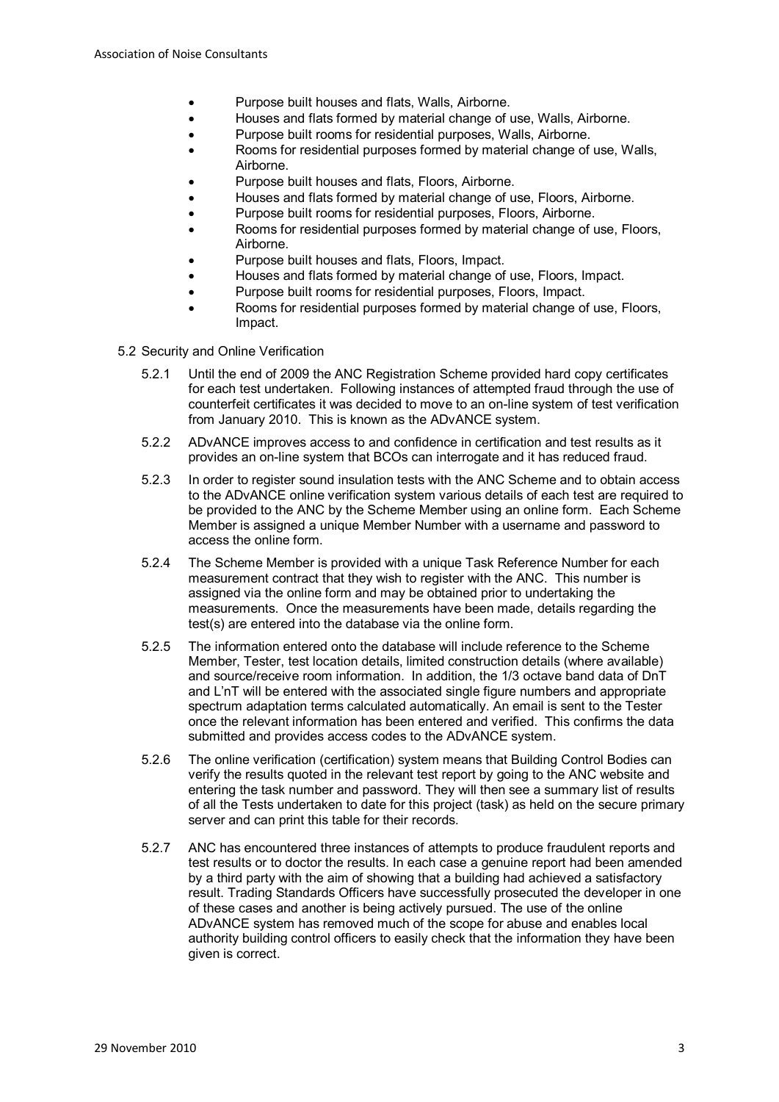- Purpose built houses and flats, Walls, Airborne.
- x Houses and flats formed by material change of use, Walls, Airborne.
- Purpose built rooms for residential purposes, Walls, Airborne.
- Rooms for residential purposes formed by material change of use, Walls, Airborne.
- Purpose built houses and flats, Floors, Airborne.
- Houses and flats formed by material change of use, Floors, Airborne.
- Purpose built rooms for residential purposes. Floors, Airborne.
- Rooms for residential purposes formed by material change of use, Floors, Airborne.
- Purpose built houses and flats, Floors, Impact.
- Houses and flats formed by material change of use, Floors, Impact.
- Purpose built rooms for residential purposes, Floors, Impact.
- Rooms for residential purposes formed by material change of use, Floors, Impact.
- 5.2 Security and Online Verification
	- 5.2.1 Until the end of 2009 the ANC Registration Scheme provided hard copy certificates for each test undertaken. Following instances of attempted fraud through the use of counterfeit certificates it was decided to move to an on-line system of test verification from January 2010. This is known as the ADvANCE system.
	- 5.2.2 ADvANCE improves access to and confidence in certification and test results as it provides an on-line system that BCOs can interrogate and it has reduced fraud.
	- 5.2.3 In order to register sound insulation tests with the ANC Scheme and to obtain access to the ADvANCE online verification system various details of each test are required to be provided to the ANC by the Scheme Member using an online form. Each Scheme Member is assigned a unique Member Number with a username and password to access the online form.
	- 5.2.4 The Scheme Member is provided with a unique Task Reference Number for each measurement contract that they wish to register with the ANC. This number is assigned via the online form and may be obtained prior to undertaking the measurements. Once the measurements have been made, details regarding the test(s) are entered into the database via the online form.
	- 5.2.5 The information entered onto the database will include reference to the Scheme Member, Tester, test location details, limited construction details (where available) and source/receive room information. In addition, the 1/3 octave band data of DnT and L'nT will be entered with the associated single figure numbers and appropriate spectrum adaptation terms calculated automatically. An email is sent to the Tester once the relevant information has been entered and verified. This confirms the data submitted and provides access codes to the ADvANCE system.
	- 5.2.6 The online verification (certification) system means that Building Control Bodies can verify the results quoted in the relevant test report by going to the ANC website and entering the task number and password. They will then see a summary list of results of all the Tests undertaken to date for this project (task) as held on the secure primary server and can print this table for their records.
	- 5.2.7 ANC has encountered three instances of attempts to produce fraudulent reports and test results or to doctor the results. In each case a genuine report had been amended by a third party with the aim of showing that a building had achieved a satisfactory result. Trading Standards Officers have successfully prosecuted the developer in one of these cases and another is being actively pursued. The use of the online ADvANCE system has removed much of the scope for abuse and enables local authority building control officers to easily check that the information they have been given is correct.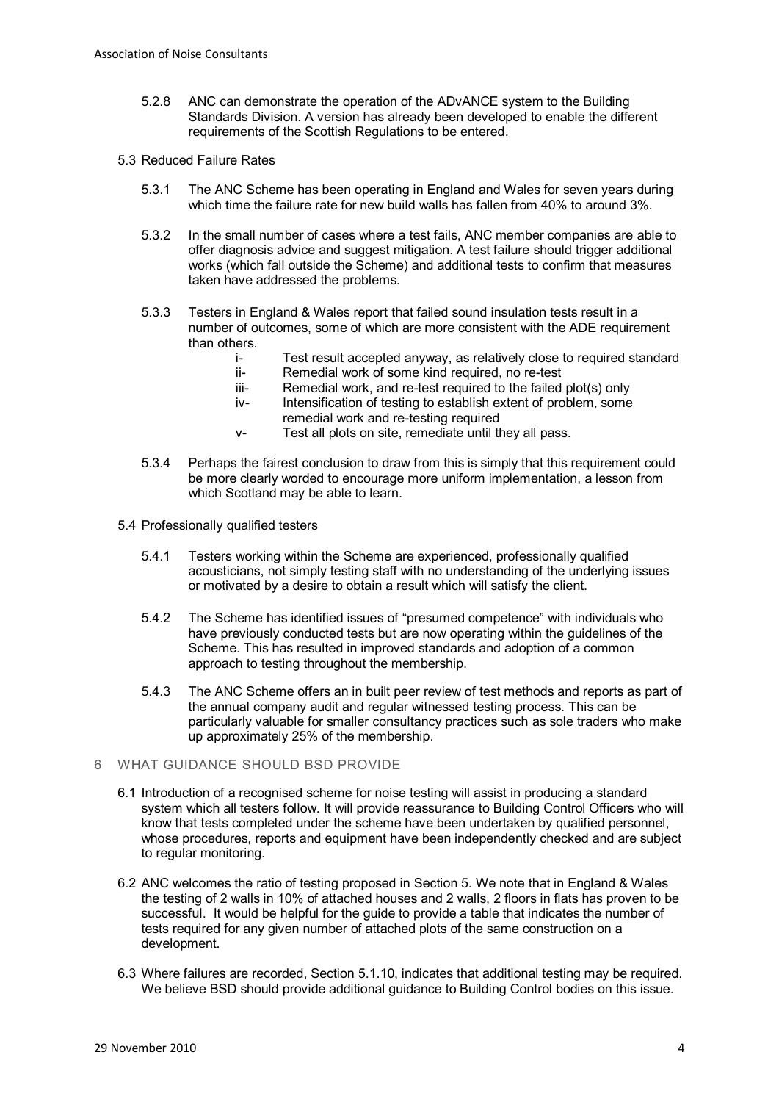- 5.2.8 ANC can demonstrate the operation of the ADvANCE system to the Building Standards Division. A version has already been developed to enable the different requirements of the Scottish Regulations to be entered.
- 5.3 Reduced Failure Rates
	- 5.3.1 The ANC Scheme has been operating in England and Wales for seven years during which time the failure rate for new build walls has fallen from 40% to around 3%.
	- 5.3.2 In the small number of cases where a test fails, ANC member companies are able to offer diagnosis advice and suggest mitigation. A test failure should trigger additional works (which fall outside the Scheme) and additional tests to confirm that measures taken have addressed the problems.
	- 5.3.3 Testers in England & Wales report that failed sound insulation tests result in a number of outcomes, some of which are more consistent with the ADE requirement than others.
		- i- Test result accepted anyway, as relatively close to required standard
		- ii- Remedial work of some kind required, no re-test
		- iii- Remedial work, and re-test required to the failed plot(s) only
		- iv- Intensification of testing to establish extent of problem, some
		- remedial work and re-testing required
		- v- Test all plots on site, remediate until they all pass.
	- 5.3.4 Perhaps the fairest conclusion to draw from this is simply that this requirement could be more clearly worded to encourage more uniform implementation, a lesson from which Scotland may be able to learn.
- 5.4 Professionally qualified testers
	- 5.4.1 Testers working within the Scheme are experienced, professionally qualified acousticians, not simply testing staff with no understanding of the underlying issues or motivated by a desire to obtain a result which will satisfy the client.
	- 5.4.2 The Scheme has identified issues of "presumed competence" with individuals who have previously conducted tests but are now operating within the guidelines of the Scheme. This has resulted in improved standards and adoption of a common approach to testing throughout the membership.
	- 5.4.3 The ANC Scheme offers an in built peer review of test methods and reports as part of the annual company audit and regular witnessed testing process. This can be particularly valuable for smaller consultancy practices such as sole traders who make up approximately 25% of the membership.

### 6 WHAT GUIDANCE SHOULD BSD PROVIDE

- 6.1 Introduction of a recognised scheme for noise testing will assist in producing a standard system which all testers follow. It will provide reassurance to Building Control Officers who will know that tests completed under the scheme have been undertaken by qualified personnel, whose procedures, reports and equipment have been independently checked and are subject to regular monitoring.
- 6.2 ANC welcomes the ratio of testing proposed in Section 5. We note that in England & Wales the testing of 2 walls in 10% of attached houses and 2 walls, 2 floors in flats has proven to be successful. It would be helpful for the guide to provide a table that indicates the number of tests required for any given number of attached plots of the same construction on a development.
- 6.3 Where failures are recorded, Section 5.1.10, indicates that additional testing may be required. We believe BSD should provide additional guidance to Building Control bodies on this issue.